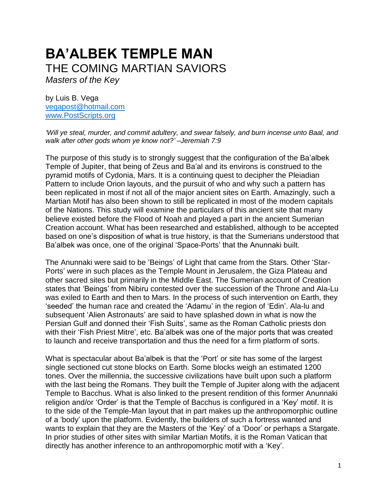# **BA'ALBEK TEMPLE MAN** THE COMING MARTIAN SAVIORS

*Masters of the Key*

by Luis B. Vega [vegapost@hotmail.com](mailto:vegapost@hotmail.com) [www.PostScripts.org](http://www.postscripts.org/)

*'Will ye steal, murder, and commit adultery, and swear falsely, and burn incense unto Baal, and walk after other gods whom ye know not?' –Jeremiah 7:9*

The purpose of this study is to strongly suggest that the configuration of the Ba'albek Temple of Jupiter, that being of Zeus and Ba'al and its environs is construed to the pyramid motifs of Cydonia, Mars. It is a continuing quest to decipher the Pleiadian Pattern to include Orion layouts, and the pursuit of who and why such a pattern has been replicated in most if not all of the major ancient sites on Earth. Amazingly, such a Martian Motif has also been shown to still be replicated in most of the modern capitals of the Nations. This study will examine the particulars of this ancient site that many believe existed before the Flood of Noah and played a part in the ancient Sumerian Creation account. What has been researched and established, although to be accepted based on one's disposition of what is true history, is that the Sumerians understood that Ba'albek was once, one of the original 'Space-Ports' that the Anunnaki built.

The Anunnaki were said to be 'Beings' of Light that came from the Stars. Other 'Star-Ports' were in such places as the Temple Mount in Jerusalem, the Giza Plateau and other sacred sites but primarily in the Middle East. The Sumerian account of Creation states that 'Beings' from Nibiru contested over the succession of the Throne and Ala-Lu was exiled to Earth and then to Mars. In the process of such intervention on Earth, they 'seeded' the human race and created the 'Adamu' in the region of 'Edin'. Ala-lu and subsequent 'Alien Astronauts' are said to have splashed down in what is now the Persian Gulf and donned their 'Fish Suits', same as the Roman Catholic priests don with their 'Fish Priest Mitre', etc. Ba'albek was one of the major ports that was created to launch and receive transportation and thus the need for a firm platform of sorts.

What is spectacular about Ba'albek is that the 'Port' or site has some of the largest single sectioned cut stone blocks on Earth. Some blocks weigh an estimated 1200 tones. Over the millennia, the successive civilizations have built upon such a platform with the last being the Romans. They built the Temple of Jupiter along with the adjacent Temple to Bacchus. What is also linked to the present rendition of this former Anunnaki religion and/or 'Order' is that the Temple of Bacchus is configured in a 'Key' motif. It is to the side of the Temple-Man layout that in part makes up the anthropomorphic outline of a 'body' upon the platform. Evidently, the builders of such a fortress wanted and wants to explain that they are the Masters of the 'Key' of a 'Door' or perhaps a Stargate. In prior studies of other sites with similar Martian Motifs, it is the Roman Vatican that directly has another inference to an anthropomorphic motif with a 'Key'.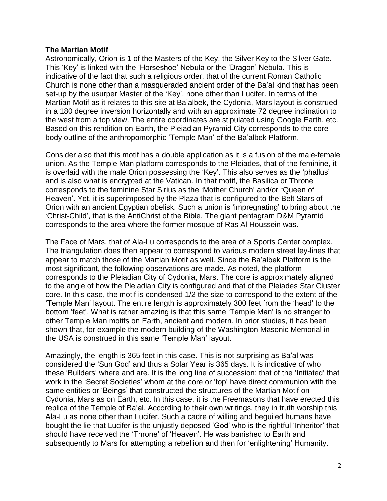### **The Martian Motif**

Astronomically, Orion is 1 of the Masters of the Key, the Silver Key to the Silver Gate. This 'Key' is linked with the 'Horseshoe' Nebula or the 'Dragon' Nebula. This is indicative of the fact that such a religious order, that of the current Roman Catholic Church is none other than a masqueraded ancient order of the Ba'al kind that has been set-up by the usurper Master of the 'Key', none other than Lucifer. In terms of the Martian Motif as it relates to this site at Ba'albek, the Cydonia, Mars layout is construed in a 180 degree inversion horizontally and with an approximate 72 degree inclination to the west from a top view. The entire coordinates are stipulated using Google Earth, etc. Based on this rendition on Earth, the Pleiadian Pyramid City corresponds to the core body outline of the anthropomorphic 'Temple Man' of the Ba'albek Platform.

Consider also that this motif has a double application as it is a fusion of the male-female union. As the Temple Man platform corresponds to the Pleiades, that of the feminine, it is overlaid with the male Orion possessing the 'Key'. This also serves as the 'phallus' and is also what is encrypted at the Vatican. In that motif, the Basilica or Throne corresponds to the feminine Star Sirius as the 'Mother Church' and/or "Queen of Heaven'. Yet, it is superimposed by the Plaza that is configured to the Belt Stars of Orion with an ancient Egyptian obelisk. Such a union is 'impregnating' to bring about the 'Christ-Child', that is the AntiChrist of the Bible. The giant pentagram D&M Pyramid corresponds to the area where the former mosque of Ras Al Houssein was.

The Face of Mars, that of Ala-Lu corresponds to the area of a Sports Center complex. The triangulation does then appear to correspond to various modern street ley-lines that appear to match those of the Martian Motif as well. Since the Ba'albek Platform is the most significant, the following observations are made. As noted, the platform corresponds to the Pleiadian City of Cydonia, Mars. The core is approximately aligned to the angle of how the Pleiadian City is configured and that of the Pleiades Star Cluster core. In this case, the motif is condensed 1/2 the size to correspond to the extent of the 'Temple Man' layout. The entire length is approximately 300 feet from the 'head' to the bottom 'feet'. What is rather amazing is that this same 'Temple Man' is no stranger to other Temple Man motifs on Earth, ancient and modern. In prior studies, it has been shown that, for example the modern building of the Washington Masonic Memorial in the USA is construed in this same 'Temple Man' layout.

Amazingly, the length is 365 feet in this case. This is not surprising as Ba'al was considered the 'Sun God' and thus a Solar Year is 365 days. It is indicative of who these 'Builders' where and are. It is the long line of succession; that of the 'Initiated' that work in the 'Secret Societies' whom at the core or 'top' have direct communion with the same entities or 'Beings' that constructed the structures of the Martian Motif on Cydonia, Mars as on Earth, etc. In this case, it is the Freemasons that have erected this replica of the Temple of Ba'al. According to their own writings, they in truth worship this Ala-Lu as none other than Lucifer. Such a cadre of willing and beguiled humans have bought the lie that Lucifer is the unjustly deposed 'God' who is the rightful 'Inheritor' that should have received the 'Throne' of 'Heaven'. He was banished to Earth and subsequently to Mars for attempting a rebellion and then for 'enlightening' Humanity.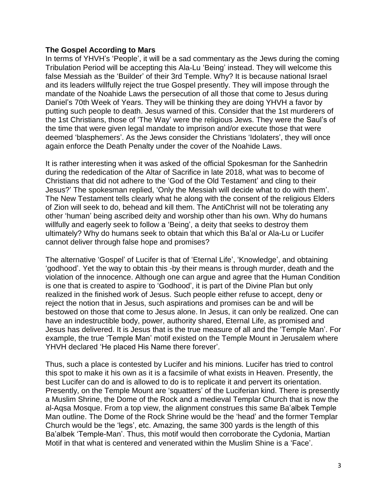#### **The Gospel According to Mars**

In terms of YHVH's 'People', it will be a sad commentary as the Jews during the coming Tribulation Period will be accepting this Ala-Lu 'Being' instead. They will welcome this false Messiah as the 'Builder' of their 3rd Temple. Why? It is because national Israel and its leaders willfully reject the true Gospel presently. They will impose through the mandate of the Noahide Laws the persecution of all those that come to Jesus during Daniel's 70th Week of Years. They will be thinking they are doing YHVH a favor by putting such people to death. Jesus warned of this. Consider that the 1st murderers of the 1st Christians, those of 'The Way' were the religious Jews. They were the Saul's of the time that were given legal mandate to imprison and/or execute those that were deemed 'blasphemers'. As the Jews consider the Christians 'Idolaters', they will once again enforce the Death Penalty under the cover of the Noahide Laws.

It is rather interesting when it was asked of the official Spokesman for the Sanhedrin during the rededication of the Altar of Sacrifice in late 2018, what was to become of Christians that did not adhere to the 'God of the Old Testament' and cling to their Jesus?' The spokesman replied, 'Only the Messiah will decide what to do with them'. The New Testament tells clearly what he along with the consent of the religious Elders of Zion will seek to do, behead and kill them. The AntiChrist will not be tolerating any other 'human' being ascribed deity and worship other than his own. Why do humans willfully and eagerly seek to follow a 'Being', a deity that seeks to destroy them ultimately? Why do humans seek to obtain that which this Ba'al or Ala-Lu or Lucifer cannot deliver through false hope and promises?

The alternative 'Gospel' of Lucifer is that of 'Eternal Life', 'Knowledge', and obtaining 'godhood'. Yet the way to obtain this -by their means is through murder, death and the violation of the innocence. Although one can argue and agree that the Human Condition is one that is created to aspire to 'Godhood', it is part of the Divine Plan but only realized in the finished work of Jesus. Such people either refuse to accept, deny or reject the notion that in Jesus, such aspirations and promises can be and will be bestowed on those that come to Jesus alone. In Jesus, it can only be realized. One can have an indestructible body, power, authority shared, Eternal Life, as promised and Jesus has delivered. It is Jesus that is the true measure of all and the 'Temple Man'. For example, the true 'Temple Man' motif existed on the Temple Mount in Jerusalem where YHVH declared 'He placed His Name there forever'.

Thus, such a place is contested by Lucifer and his minions. Lucifer has tried to control this spot to make it his own as it is a facsimile of what exists in Heaven. Presently, the best Lucifer can do and is allowed to do is to replicate it and pervert its orientation. Presently, on the Temple Mount are 'squatters' of the Luciferian kind. There is presently a Muslim Shrine, the Dome of the Rock and a medieval Templar Church that is now the al-Aqsa Mosque. From a top view, the alignment construes this same Ba'albek Temple Man outline. The Dome of the Rock Shrine would be the 'head' and the former Templar Church would be the 'legs', etc. Amazing, the same 300 yards is the length of this Ba'albek 'Temple-Man'. Thus, this motif would then corroborate the Cydonia, Martian Motif in that what is centered and venerated within the Muslim Shine is a 'Face'.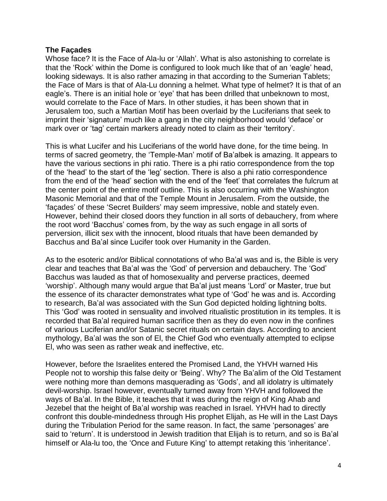## **The Façades**

Whose face? It is the Face of Ala-lu or 'Allah'. What is also astonishing to correlate is that the 'Rock' within the Dome is configured to look much like that of an 'eagle' head, looking sideways. It is also rather amazing in that according to the Sumerian Tablets; the Face of Mars is that of Ala-Lu donning a helmet. What type of helmet? It is that of an eagle's. There is an initial hole or 'eye' that has been drilled that unbeknown to most, would correlate to the Face of Mars. In other studies, it has been shown that in Jerusalem too, such a Martian Motif has been overlaid by the Luciferians that seek to imprint their 'signature' much like a gang in the city neighborhood would 'deface' or mark over or 'tag' certain markers already noted to claim as their 'territory'.

This is what Lucifer and his Luciferians of the world have done, for the time being. In terms of sacred geometry, the 'Temple-Man' motif of Ba'albek is amazing. It appears to have the various sections in phi ratio. There is a phi ratio correspondence from the top of the 'head' to the start of the 'leg' section. There is also a phi ratio correspondence from the end of the 'head' section with the end of the 'feet' that correlates the fulcrum at the center point of the entire motif outline. This is also occurring with the Washington Masonic Memorial and that of the Temple Mount in Jerusalem. From the outside, the 'façades' of these 'Secret Builders' may seem impressive, noble and stately even. However, behind their closed doors they function in all sorts of debauchery, from where the root word 'Bacchus' comes from, by the way as such engage in all sorts of perversion, illicit sex with the innocent, blood rituals that have been demanded by Bacchus and Ba'al since Lucifer took over Humanity in the Garden.

As to the esoteric and/or Biblical connotations of who Ba'al was and is, the Bible is very clear and teaches that Ba'al was the 'God' of perversion and debauchery. The 'God' Bacchus was lauded as that of homosexuality and perverse practices, deemed 'worship'. Although many would argue that Ba'al just means 'Lord' or Master, true but the essence of its character demonstrates what type of 'God' he was and is. According to research, Ba'al was associated with the Sun God depicted holding lightning bolts. This 'God' was rooted in sensuality and involved ritualistic prostitution in its temples. It is recorded that Ba'al required human sacrifice then as they do even now in the confines of various Luciferian and/or Satanic secret rituals on certain days. According to ancient mythology, Ba'al was the son of El, the Chief God who eventually attempted to eclipse El, who was seen as rather weak and ineffective, etc.

However, before the Israelites entered the Promised Land, the YHVH warned His People not to worship this false deity or 'Being'. Why? The Ba'alim of the Old Testament were nothing more than demons masquerading as 'Gods', and all idolatry is ultimately devil-worship. Israel however, eventually turned away from YHVH and followed the ways of Ba'al. In the Bible, it teaches that it was during the reign of King Ahab and Jezebel that the height of Ba'al worship was reached in Israel. YHVH had to directly confront this double-mindedness through His prophet Elijah, as He will in the Last Days during the Tribulation Period for the same reason. In fact, the same 'personages' are said to 'return'. It is understood in Jewish tradition that Elijah is to return, and so is Ba'al himself or Ala-lu too, the 'Once and Future King' to attempt retaking this 'inheritance'.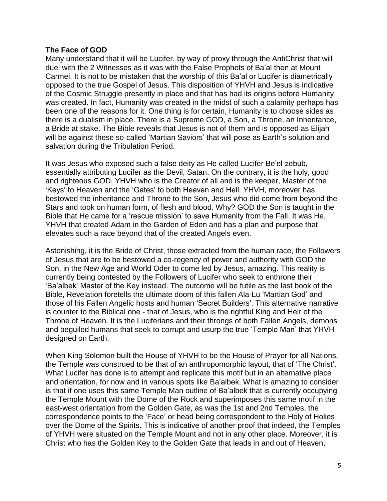## **The Face of GOD**

Many understand that it will be Lucifer, by way of proxy through the AntiChrist that will duel with the 2 Witnesses as it was with the False Prophets of Ba'al then at Mount Carmel. It is not to be mistaken that the worship of this Ba'al or Lucifer is diametrically opposed to the true Gospel of Jesus. This disposition of YHVH and Jesus is indicative of the Cosmic Struggle presently in place and that has had its origins before Humanity was created. In fact, Humanity was created in the midst of such a calamity perhaps has been one of the reasons for it. One thing is for certain, Humanity is to choose sides as there is a dualism in place. There is a Supreme GOD, a Son, a Throne, an Inheritance, a Bride at stake. The Bible reveals that Jesus is not of them and is opposed as Elijah will be against these so-called 'Martian Saviors' that will pose as Earth's solution and salvation during the Tribulation Period.

It was Jesus who exposed such a false deity as He called Lucifer Be'el-zebub, essentially attributing Lucifer as the Devil, Satan. On the contrary, it is the holy, good and righteous GOD, YHVH who is the Creator of all and is the keeper, Master of the 'Keys' to Heaven and the 'Gates' to both Heaven and Hell. YHVH, moreover has bestowed the inheritance and Throne to the Son, Jesus who did come from beyond the Stars and took on human form, of flesh and blood. Why? GOD the Son is taught in the Bible that He came for a 'rescue mission' to save Humanity from the Fall. It was He, YHVH that created Adam in the Garden of Eden and has a plan and purpose that elevates such a race beyond that of the created Angels even.

Astonishing, it is the Bride of Christ, those extracted from the human race, the Followers of Jesus that are to be bestowed a co-regency of power and authority with GOD the Son, in the New Age and World Oder to come led by Jesus, amazing. This reality is currently being contested by the Followers of Lucifer who seek to enthrone their 'Ba'albek' Master of the Key instead. The outcome will be futile as the last book of the Bible, Revelation foretells the ultimate doom of this fallen Ala-Lu 'Martian God' and those of his Fallen Angelic hosts and human 'Secret Builders'. This alternative narrative is counter to the Biblical one - that of Jesus, who is the rightful King and Heir of the Throne of Heaven. It is the Luciferians and their throngs of both Fallen Angels, demons and beguiled humans that seek to corrupt and usurp the true 'Temple Man' that YHVH designed on Earth.

When King Solomon built the House of YHVH to be the House of Prayer for all Nations, the Temple was construed to be that of an anthropomorphic layout, that of 'The Christ'. What Lucifer has done is to attempt and replicate this motif but in an alternative place and orientation, for now and in various spots like Ba'albek. What is amazing to consider is that if one uses this same Temple Man outline of Ba'albek that is currently occupying the Temple Mount with the Dome of the Rock and superimposes this same motif in the east-west orientation from the Golden Gate, as was the 1st and 2nd Temples, the correspondence points to the 'Face' or head being correspondent to the Holy of Holies over the Dome of the Spirits. This is indicative of another proof that indeed, the Temples of YHVH were situated on the Temple Mount and not in any other place. Moreover, it is Christ who has the Golden Key to the Golden Gate that leads in and out of Heaven,